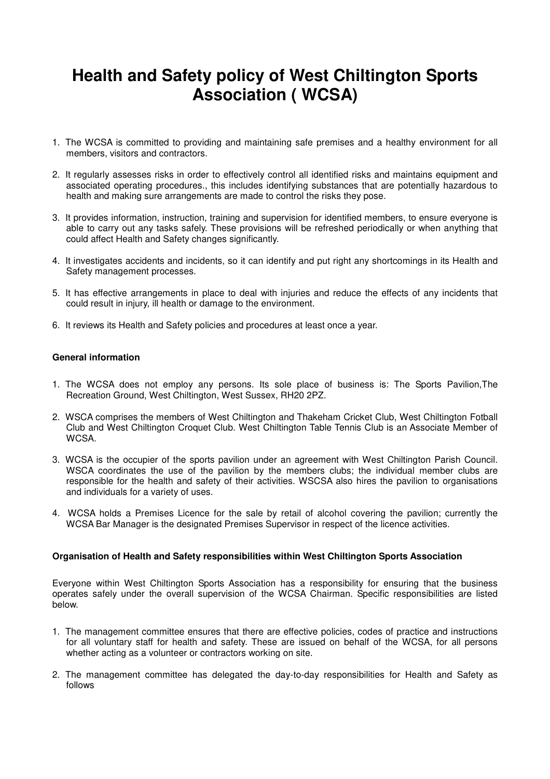# **Health and Safety policy of West Chiltington Sports Association ( WCSA)**

- 1. The WCSA is committed to providing and maintaining safe premises and a healthy environment for all members, visitors and contractors.
- 2. It regularly assesses risks in order to effectively control all identified risks and maintains equipment and associated operating procedures., this includes identifying substances that are potentially hazardous to health and making sure arrangements are made to control the risks they pose.
- 3. It provides information, instruction, training and supervision for identified members, to ensure everyone is able to carry out any tasks safely. These provisions will be refreshed periodically or when anything that could affect Health and Safety changes significantly.
- 4. It investigates accidents and incidents, so it can identify and put right any shortcomings in its Health and Safety management processes.
- 5. It has effective arrangements in place to deal with injuries and reduce the effects of any incidents that could result in injury, ill health or damage to the environment.
- 6. It reviews its Health and Safety policies and procedures at least once a year.

# **General information**

- 1. The WCSA does not employ any persons. Its sole place of business is: The Sports Pavilion,The Recreation Ground, West Chiltington, West Sussex, RH20 2PZ.
- 2. WSCA comprises the members of West Chiltington and Thakeham Cricket Club, West Chiltington Fotball Club and West Chiltington Croquet Club. West Chiltington Table Tennis Club is an Associate Member of WCSA.
- 3. WCSA is the occupier of the sports pavilion under an agreement with West Chiltington Parish Council. WSCA coordinates the use of the pavilion by the members clubs; the individual member clubs are responsible for the health and safety of their activities. WSCSA also hires the pavilion to organisations and individuals for a variety of uses.
- 4. WCSA holds a Premises Licence for the sale by retail of alcohol covering the pavilion; currently the WCSA Bar Manager is the designated Premises Supervisor in respect of the licence activities.

# **Organisation of Health and Safety responsibilities within West Chiltington Sports Association**

Everyone within West Chiltington Sports Association has a responsibility for ensuring that the business operates safely under the overall supervision of the WCSA Chairman. Specific responsibilities are listed below.

- 1. The management committee ensures that there are effective policies, codes of practice and instructions for all voluntary staff for health and safety. These are issued on behalf of the WCSA, for all persons whether acting as a volunteer or contractors working on site.
- 2. The management committee has delegated the day-to-day responsibilities for Health and Safety as follows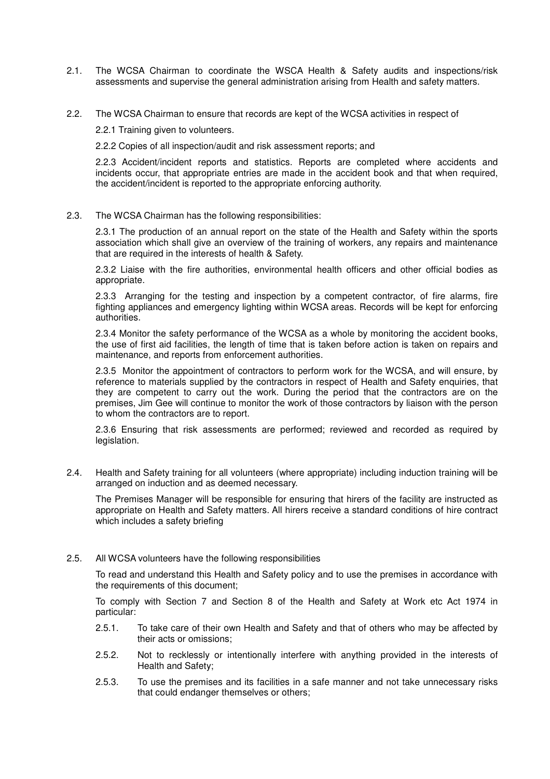- 2.1. The WCSA Chairman to coordinate the WSCA Health & Safety audits and inspections/risk assessments and supervise the general administration arising from Health and safety matters.
- 2.2. The WCSA Chairman to ensure that records are kept of the WCSA activities in respect of

2.2.1 Training given to volunteers.

2.2.2 Copies of all inspection/audit and risk assessment reports; and

2.2.3 Accident/incident reports and statistics. Reports are completed where accidents and incidents occur, that appropriate entries are made in the accident book and that when required, the accident/incident is reported to the appropriate enforcing authority.

### 2.3. The WCSA Chairman has the following responsibilities:

2.3.1 The production of an annual report on the state of the Health and Safety within the sports association which shall give an overview of the training of workers, any repairs and maintenance that are required in the interests of health & Safety.

2.3.2 Liaise with the fire authorities, environmental health officers and other official bodies as appropriate.

2.3.3 Arranging for the testing and inspection by a competent contractor, of fire alarms, fire fighting appliances and emergency lighting within WCSA areas. Records will be kept for enforcing authorities.

2.3.4 Monitor the safety performance of the WCSA as a whole by monitoring the accident books, the use of first aid facilities, the length of time that is taken before action is taken on repairs and maintenance, and reports from enforcement authorities.

2.3.5 Monitor the appointment of contractors to perform work for the WCSA, and will ensure, by reference to materials supplied by the contractors in respect of Health and Safety enquiries, that they are competent to carry out the work. During the period that the contractors are on the premises, Jim Gee will continue to monitor the work of those contractors by liaison with the person to whom the contractors are to report.

2.3.6 Ensuring that risk assessments are performed; reviewed and recorded as required by legislation.

2.4. Health and Safety training for all volunteers (where appropriate) including induction training will be arranged on induction and as deemed necessary.

The Premises Manager will be responsible for ensuring that hirers of the facility are instructed as appropriate on Health and Safety matters. All hirers receive a standard conditions of hire contract which includes a safety briefing

# 2.5. All WCSA volunteers have the following responsibilities

To read and understand this Health and Safety policy and to use the premises in accordance with the requirements of this document;

To comply with Section 7 and Section 8 of the Health and Safety at Work etc Act 1974 in particular:

- 2.5.1. To take care of their own Health and Safety and that of others who may be affected by their acts or omissions;
- 2.5.2. Not to recklessly or intentionally interfere with anything provided in the interests of Health and Safety;
- 2.5.3. To use the premises and its facilities in a safe manner and not take unnecessary risks that could endanger themselves or others;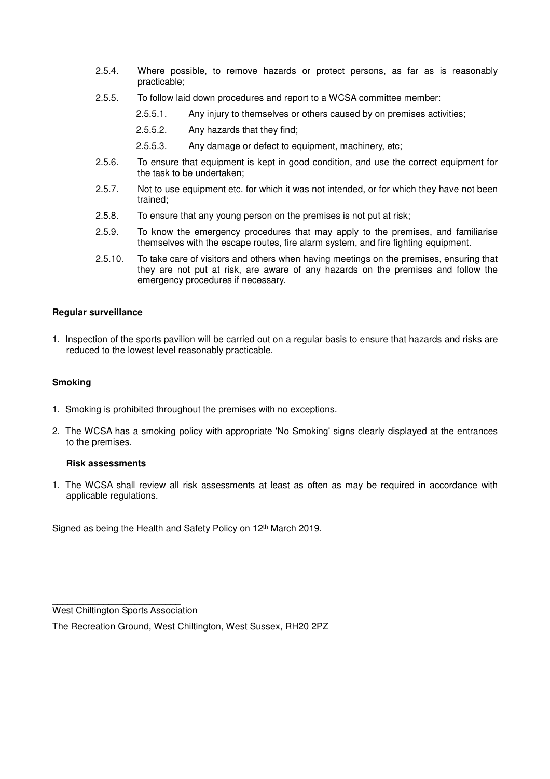- 2.5.4. Where possible, to remove hazards or protect persons, as far as is reasonably practicable;
- 2.5.5. To follow laid down procedures and report to a WCSA committee member:
	- 2.5.5.1. Any injury to themselves or others caused by on premises activities;
	- 2.5.5.2. Any hazards that they find;
	- 2.5.5.3. Any damage or defect to equipment, machinery, etc;
- 2.5.6. To ensure that equipment is kept in good condition, and use the correct equipment for the task to be undertaken;
- 2.5.7. Not to use equipment etc. for which it was not intended, or for which they have not been trained;
- 2.5.8. To ensure that any young person on the premises is not put at risk;
- 2.5.9. To know the emergency procedures that may apply to the premises, and familiarise themselves with the escape routes, fire alarm system, and fire fighting equipment.
- 2.5.10. To take care of visitors and others when having meetings on the premises, ensuring that they are not put at risk, are aware of any hazards on the premises and follow the emergency procedures if necessary.

## **Regular surveillance**

1. Inspection of the sports pavilion will be carried out on a regular basis to ensure that hazards and risks are reduced to the lowest level reasonably practicable.

#### **Smoking**

- 1. Smoking is prohibited throughout the premises with no exceptions.
- 2. The WCSA has a smoking policy with appropriate 'No Smoking' signs clearly displayed at the entrances to the premises.

## **Risk assessments**

1. The WCSA shall review all risk assessments at least as often as may be required in accordance with applicable regulations.

Signed as being the Health and Safety Policy on 12<sup>th</sup> March 2019.

 $\frac{1}{2}$  ,  $\frac{1}{2}$  ,  $\frac{1}{2}$  ,  $\frac{1}{2}$  ,  $\frac{1}{2}$  ,  $\frac{1}{2}$  ,  $\frac{1}{2}$  ,  $\frac{1}{2}$  ,  $\frac{1}{2}$  ,  $\frac{1}{2}$  ,  $\frac{1}{2}$  ,  $\frac{1}{2}$  ,  $\frac{1}{2}$  ,  $\frac{1}{2}$  ,  $\frac{1}{2}$  ,  $\frac{1}{2}$  ,  $\frac{1}{2}$  ,  $\frac{1}{2}$  ,  $\frac{1$ West Chiltington Sports Association

The Recreation Ground, West Chiltington, West Sussex, RH20 2PZ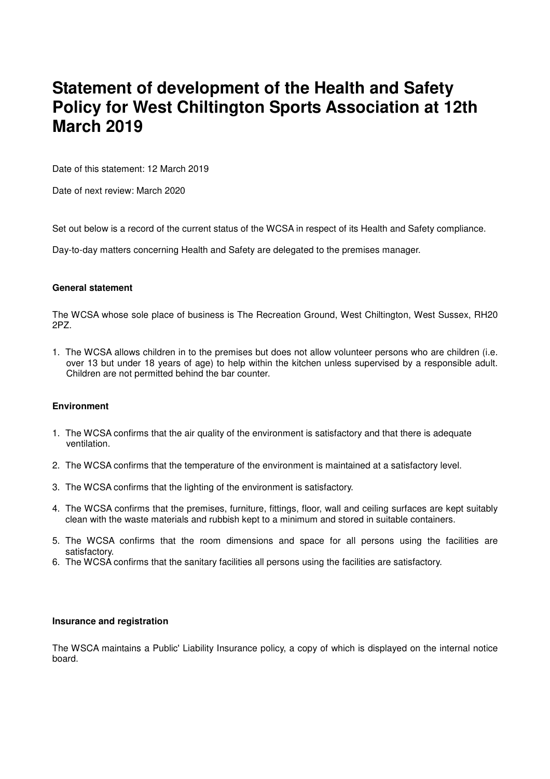# **Statement of development of the Health and Safety Policy for West Chiltington Sports Association at 12th March 2019**

Date of this statement: 12 March 2019

Date of next review: March 2020

Set out below is a record of the current status of the WCSA in respect of its Health and Safety compliance.

Day-to-day matters concerning Health and Safety are delegated to the premises manager.

### **General statement**

The WCSA whose sole place of business is The Recreation Ground, West Chiltington, West Sussex, RH20 2PZ.

1. The WCSA allows children in to the premises but does not allow volunteer persons who are children (i.e. over 13 but under 18 years of age) to help within the kitchen unless supervised by a responsible adult. Children are not permitted behind the bar counter.

# **Environment**

- 1. The WCSA confirms that the air quality of the environment is satisfactory and that there is adequate ventilation.
- 2. The WCSA confirms that the temperature of the environment is maintained at a satisfactory level.
- 3. The WCSA confirms that the lighting of the environment is satisfactory.
- 4. The WCSA confirms that the premises, furniture, fittings, floor, wall and ceiling surfaces are kept suitably clean with the waste materials and rubbish kept to a minimum and stored in suitable containers.
- 5. The WCSA confirms that the room dimensions and space for all persons using the facilities are satisfactory.
- 6. The WCSA confirms that the sanitary facilities all persons using the facilities are satisfactory.

#### **Insurance and registration**

The WSCA maintains a Public' Liability Insurance policy, a copy of which is displayed on the internal notice board.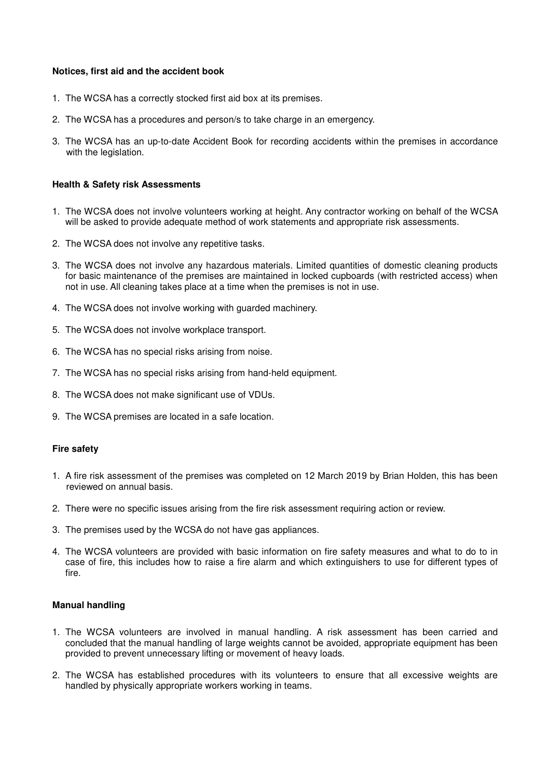#### **Notices, first aid and the accident book**

- 1. The WCSA has a correctly stocked first aid box at its premises.
- 2. The WCSA has a procedures and person/s to take charge in an emergency.
- 3. The WCSA has an up-to-date Accident Book for recording accidents within the premises in accordance with the legislation.

### **Health & Safety risk Assessments**

- 1. The WCSA does not involve volunteers working at height. Any contractor working on behalf of the WCSA will be asked to provide adequate method of work statements and appropriate risk assessments.
- 2. The WCSA does not involve any repetitive tasks.
- 3. The WCSA does not involve any hazardous materials. Limited quantities of domestic cleaning products for basic maintenance of the premises are maintained in locked cupboards (with restricted access) when not in use. All cleaning takes place at a time when the premises is not in use.
- 4. The WCSA does not involve working with guarded machinery.
- 5. The WCSA does not involve workplace transport.
- 6. The WCSA has no special risks arising from noise.
- 7. The WCSA has no special risks arising from hand-held equipment.
- 8. The WCSA does not make significant use of VDUs.
- 9. The WCSA premises are located in a safe location.

# **Fire safety**

- 1. A fire risk assessment of the premises was completed on 12 March 2019 by Brian Holden, this has been reviewed on annual basis.
- 2. There were no specific issues arising from the fire risk assessment requiring action or review.
- 3. The premises used by the WCSA do not have gas appliances.
- 4. The WCSA volunteers are provided with basic information on fire safety measures and what to do to in case of fire, this includes how to raise a fire alarm and which extinguishers to use for different types of fire.

#### **Manual handling**

- 1. The WCSA volunteers are involved in manual handling. A risk assessment has been carried and concluded that the manual handling of large weights cannot be avoided, appropriate equipment has been provided to prevent unnecessary lifting or movement of heavy loads.
- 2. The WCSA has established procedures with its volunteers to ensure that all excessive weights are handled by physically appropriate workers working in teams.